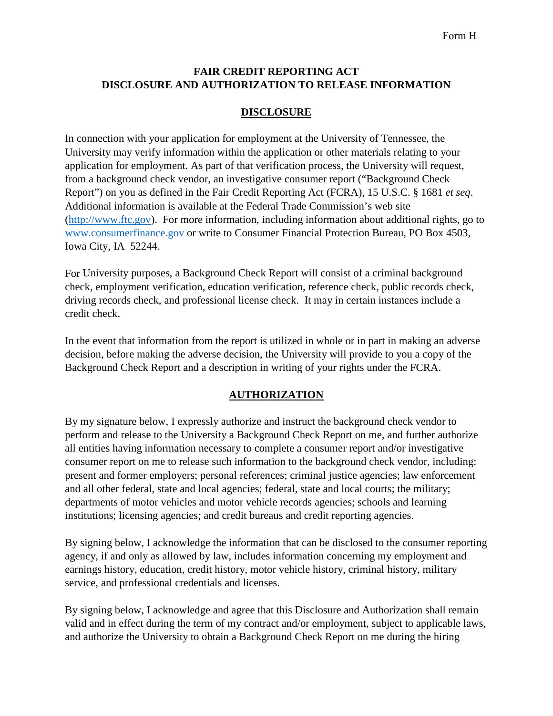## **FAIR CREDIT REPORTING ACT DISCLOSURE AND AUTHORIZATION TO RELEASE INFORMATION**

# **DISCLOSURE**

In connection with your application for employment at the University of Tennessee, the University may verify information within the application or other materials relating to your application for employment. As part of that verification process, the University will request, from a background check vendor, an investigative consumer report ("Background Check Report") on you as defined in the Fair Credit Reporting Act (FCRA), 15 U.S.C. § 1681 *et seq*. Additional information is available at the Federal Trade Commission's web site [\(http://www.ftc.gov\)](http://www.ftc.gov/). For more information, including information about additional rights, go to [www.consumerfinance.gov](http://www.consumerfinance.gov/) or write to Consumer Financial Protection Bureau, PO Box 4503, Iowa City, IA 52244.

For University purposes, a Background Check Report will consist of a criminal background check, employment verification, education verification, reference check, public records check, driving records check, and professional license check. It may in certain instances include a credit check.

In the event that information from the report is utilized in whole or in part in making an adverse decision, before making the adverse decision, the University will provide to you a copy of the Background Check Report and a description in writing of your rights under the FCRA.

## **AUTHORIZATION**

By my signature below, I expressly authorize and instruct the background check vendor to perform and release to the University a Background Check Report on me, and further authorize all entities having information necessary to complete a consumer report and/or investigative consumer report on me to release such information to the background check vendor, including: present and former employers; personal references; criminal justice agencies; law enforcement and all other federal, state and local agencies; federal, state and local courts; the military; departments of motor vehicles and motor vehicle records agencies; schools and learning institutions; licensing agencies; and credit bureaus and credit reporting agencies.

By signing below, I acknowledge the information that can be disclosed to the consumer reporting agency, if and only as allowed by law, includes information concerning my employment and earnings history, education, credit history, motor vehicle history, criminal history, military service, and professional credentials and licenses.

By signing below, I acknowledge and agree that this Disclosure and Authorization shall remain valid and in effect during the term of my contract and/or employment, subject to applicable laws, and authorize the University to obtain a Background Check Report on me during the hiring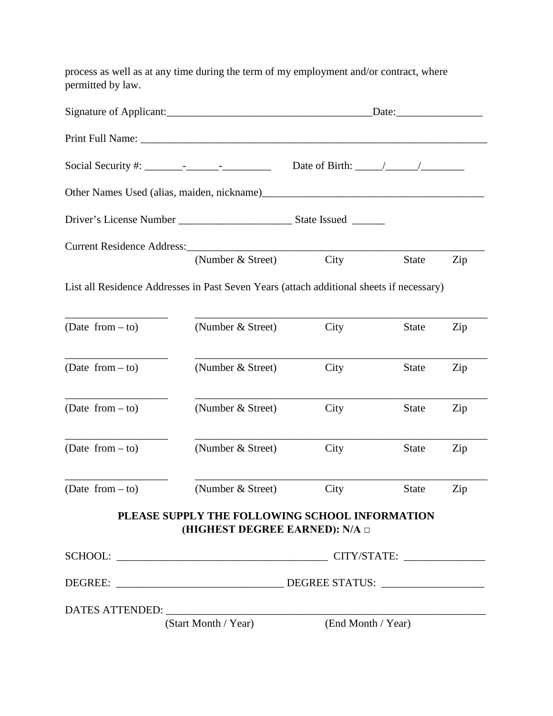process as well as at any time during the term of my employment and/or contract, where permitted by law.

|                                                                                          |                                        |                                                | $\text{Date:}$ |     |
|------------------------------------------------------------------------------------------|----------------------------------------|------------------------------------------------|----------------|-----|
|                                                                                          |                                        |                                                |                |     |
|                                                                                          |                                        | Date of Birth: $\frac{\sqrt{2}}{2}$            |                |     |
|                                                                                          |                                        |                                                |                |     |
|                                                                                          |                                        |                                                |                |     |
|                                                                                          |                                        |                                                |                |     |
|                                                                                          | (Number & Street)                      | City                                           | <b>State</b>   | Zip |
| List all Residence Addresses in Past Seven Years (attach additional sheets if necessary) |                                        |                                                |                |     |
| $(Date from - to)$                                                                       | (Number & Street)                      | City                                           | <b>State</b>   | Zip |
| (Date from $-$ to)                                                                       | (Number & Street)                      | City                                           | <b>State</b>   | Zip |
| (Date from $-$ to)                                                                       | (Number & Street)                      | City                                           | <b>State</b>   | Zip |
| (Date from $-$ to)                                                                       | (Number & Street)                      | City                                           | <b>State</b>   | Zip |
| (Date from $-$ to)                                                                       | (Number & Street)                      | City                                           | <b>State</b>   | Zip |
|                                                                                          | (HIGHEST DEGREE EARNED): N/A $\square$ | PLEASE SUPPLY THE FOLLOWING SCHOOL INFORMATION |                |     |
|                                                                                          |                                        |                                                |                |     |
|                                                                                          |                                        |                                                |                |     |
|                                                                                          |                                        |                                                |                |     |
|                                                                                          |                                        | (Start Month / Year) (End Month / Year)        |                |     |